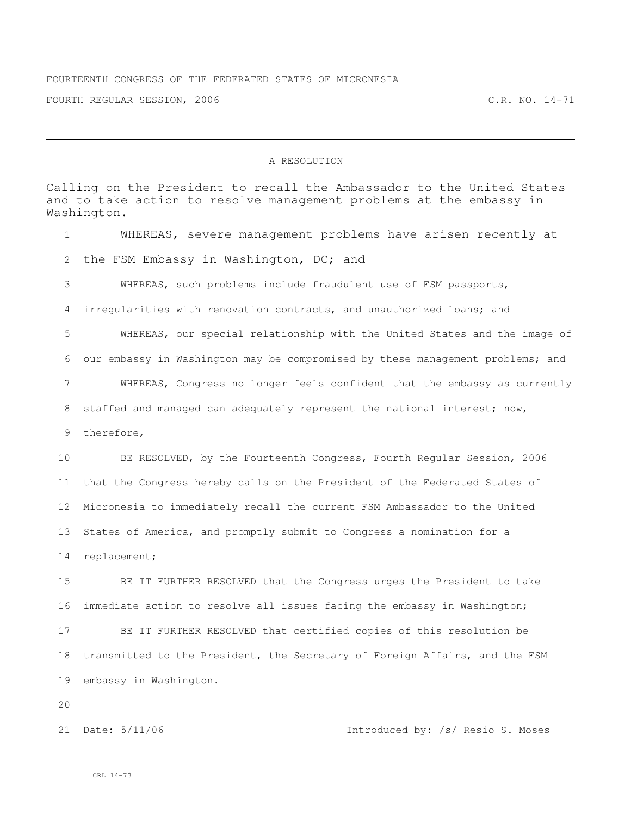## A RESOLUTION

Calling on the President to recall the Ambassador to the United States and to take action to resolve management problems at the embassy in Washington. WHEREAS, severe management problems have arisen recently at the FSM Embassy in Washington, DC; and WHEREAS, such problems include fraudulent use of FSM passports, irregularities with renovation contracts, and unauthorized loans; and WHEREAS, our special relationship with the United States and the image of our embassy in Washington may be compromised by these management problems; and WHEREAS, Congress no longer feels confident that the embassy as currently 8 staffed and managed can adequately represent the national interest; now, therefore, BE RESOLVED, by the Fourteenth Congress, Fourth Regular Session, 2006 that the Congress hereby calls on the President of the Federated States of Micronesia to immediately recall the current FSM Ambassador to the United States of America, and promptly submit to Congress a nomination for a replacement; BE IT FURTHER RESOLVED that the Congress urges the President to take immediate action to resolve all issues facing the embassy in Washington; BE IT FURTHER RESOLVED that certified copies of this resolution be transmitted to the President, the Secretary of Foreign Affairs, and the FSM embassy in Washington. 

21 Date:  $\frac{5}{11/06}$  and  $\frac{5}{11/06}$  introduced by:  $\frac{1}{5}$  Resio S. Moses